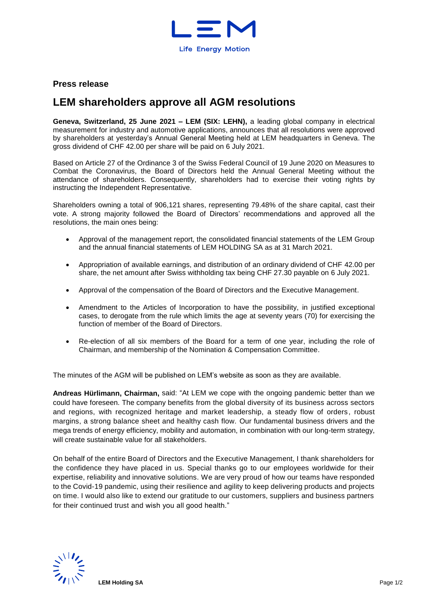

## **Press release**

# **LEM shareholders approve all AGM resolutions**

**Geneva, Switzerland, 25 June 2021 – LEM (SIX: LEHN),** a leading global company in electrical measurement for industry and automotive applications, announces that all resolutions were approved by shareholders at yesterday's Annual General Meeting held at LEM headquarters in Geneva. The gross dividend of CHF 42.00 per share will be paid on 6 July 2021.

Based on Article 27 of the Ordinance 3 of the Swiss Federal Council of 19 June 2020 on Measures to Combat the Coronavirus, the Board of Directors held the Annual General Meeting without the attendance of shareholders. Consequently, shareholders had to exercise their voting rights by instructing the Independent Representative.

Shareholders owning a total of 906,121 shares, representing 79.48% of the share capital, cast their vote. A strong majority followed the Board of Directors' recommendations and approved all the resolutions, the main ones being:

- Approval of the management report, the consolidated financial statements of the LEM Group and the annual financial statements of LEM HOLDING SA as at 31 March 2021.
- Appropriation of available earnings, and distribution of an ordinary dividend of CHF 42.00 per share, the net amount after Swiss withholding tax being CHF 27.30 payable on 6 July 2021.
- Approval of the compensation of the Board of Directors and the Executive Management.
- Amendment to the Articles of Incorporation to have the possibility, in justified exceptional cases, to derogate from the rule which limits the age at seventy years (70) for exercising the function of member of the Board of Directors.
- Re-election of all six members of the Board for a term of one year, including the role of Chairman, and membership of the Nomination & Compensation Committee.

The minutes of the AGM will be published on LEM's website as soon as they are available.

**Andreas Hürlimann, Chairman,** said: "At LEM we cope with the ongoing pandemic better than we could have foreseen. The company benefits from the global diversity of its business across sectors and regions, with recognized heritage and market leadership, a steady flow of orders, robust margins, a strong balance sheet and healthy cash flow. Our fundamental business drivers and the mega trends of energy efficiency, mobility and automation, in combination with our long-term strategy, will create sustainable value for all stakeholders.

On behalf of the entire Board of Directors and the Executive Management, I thank shareholders for the confidence they have placed in us. Special thanks go to our employees worldwide for their expertise, reliability and innovative solutions. We are very proud of how our teams have responded to the Covid-19 pandemic, using their resilience and agility to keep delivering products and projects on time. I would also like to extend our gratitude to our customers, suppliers and business partners for their continued trust and wish you all good health."